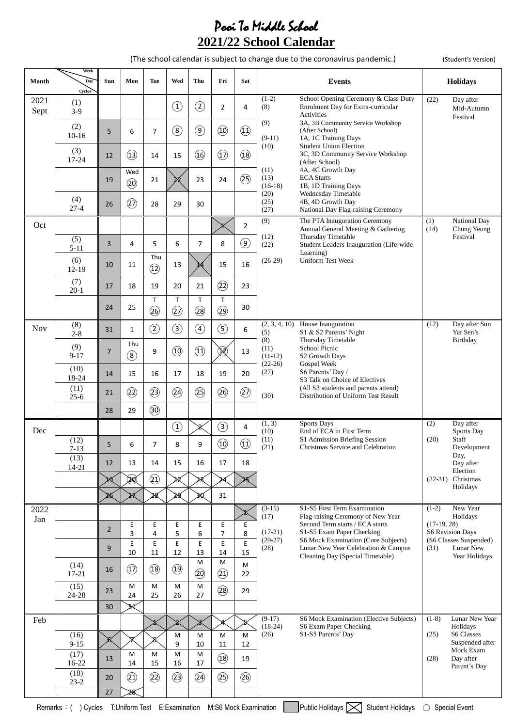## Pooi To Middle School **2021/22 School Calendar**

(The school calendar is subject to change due to the coronavirus pandemic.) (Student's Version)

| Month        | Week<br>Day<br>Cycles | Sun            | Mon                             | Tue                  | Wed                | Thu                 | Fri                             | Sat                            |                           | <b>Events</b>                                                                            | <b>Holidays</b>                                   |
|--------------|-----------------------|----------------|---------------------------------|----------------------|--------------------|---------------------|---------------------------------|--------------------------------|---------------------------|------------------------------------------------------------------------------------------|---------------------------------------------------|
| 2021<br>Sept | (1)<br>$3-9$          |                |                                 |                      | $\bigcirc$         | $\circled{2}$       | $\overline{2}$                  | $\overline{4}$                 | $(1-2)$<br>(8)            | School Opening Ceremony & Class Duty<br>Enrolment Day for Extra-curricular<br>Activities | (22)<br>Day after<br>Mid-Autumn<br>Festival       |
|              | (2)<br>$10-16$        | 5              | 6                               | $\overline{7}$       | $\circled{8}$      | $\circledcirc$      | $\circled{10}$                  | $\textcircled{\scriptsize{1}}$ | (9)<br>$(9-11)$           | 3A, 3B Community Service Workshop<br>(After School)<br>1A, 1C Training Days              |                                                   |
|              | (3)<br>17-24          | 12             | (13)                            | 14                   | 15                 | (16)                | $\circled{1}$                   | (18)                           | (10)                      | <b>Student Union Election</b><br>3C, 3D Community Service Workshop<br>(After School)     |                                                   |
|              |                       | 19             | Wed<br>(20)                     | 21                   |                    | 23                  | 24                              | $\circled{3}$                  | (11)<br>(13)<br>$(16-18)$ | 4A, 4C Growth Day<br><b>ECA</b> Starts<br>1B, 1D Training Days                           |                                                   |
|              | (4)<br>$27-4$         | 26             | $\widehat{27}$                  | 28                   | 29                 | 30                  |                                 |                                | (20)<br>(25)<br>(27)      | Wednesday Timetable<br>4B, 4D Growth Day<br>National Day Flag-raising Ceremony           |                                                   |
| Oct          |                       |                |                                 |                      |                    |                     |                                 | $\overline{2}$                 | (9)                       | The PTA Inauguration Ceremony<br>Annual General Meeting & Gathering                      | National Day<br>(1)<br>(14)<br>Chung Yeung        |
|              | (5)<br>$5 - 11$       | 3              | 4                               | 5                    | 6                  | $\overline{7}$      | 8                               | $\circledcirc$                 | (12)<br>(22)              | Thursday Timetable<br>Student Leaders Inauguration (Life-wide<br>Learning)               | Festival                                          |
|              | (6)<br>$12-19$        | 10             | 11                              | Thu<br>$\circled{1}$ | 13                 |                     | 15                              | 16                             | $(26-29)$                 | <b>Uniform Test Week</b>                                                                 |                                                   |
|              | (7)<br>$20-1$         | 17             | 18                              | 19                   | 20                 | 21                  | (2)                             | 23                             |                           |                                                                                          |                                                   |
|              |                       | 24             | 25                              | $\sf T$<br>(26)      | T<br>$\circled{2}$ | $\mathsf T$<br>(28) | $\mathsf T$<br>29               | 30                             |                           |                                                                                          |                                                   |
| <b>Nov</b>   | (8)<br>$2 - 8$        | 31             | 1                               | $\circled{2}$        | $\circled{3}$      | $\circled{4}$       | $\circledS$                     | 6                              | (2, 3, 4, 10)<br>(5)      | House Inauguration<br>S1 & S2 Parents' Night                                             | (12)<br>Day after Sun<br>Yat Sen's                |
|              | (9)<br>$9 - 17$       | 7              | Thu<br>$\left( \text{8}\right)$ | 9                    | $\circled{10}$     | $\circled{1}$       | $\left(\cancel{\bowtie}\right)$ | 13                             | (8)<br>(11)<br>$(11-12)$  | Thursday Timetable<br>School Picnic<br>S2 Growth Days                                    | Birthday                                          |
|              | (10)<br>18-24         | 14             | 15                              | 16                   | 17                 | 18                  | 19                              | 20                             | $(22-26)$<br>(27)         | Gospel Week<br>S6 Parents' Day /<br>S3 Talk on Choice of Electives                       |                                                   |
|              | (11)<br>$25 - 6$      | 21             | $\circled{2}$                   | (23)                 | (24)               | $\circled{3}$       | 26                              | $\circled{2}$                  | (30)                      | (All S3 students and parents attend)<br>Distribution of Uniform Test Result              |                                                   |
|              |                       | 28             | 29                              | $\circledS$          |                    |                     |                                 |                                |                           |                                                                                          |                                                   |
| Dec          |                       |                |                                 |                      | $\bigcirc$         |                     | $\circled{3}$                   | 4                              | (1, 3)<br>(10)            | <b>Sports Days</b><br>End of ECA in First Term                                           | Day after<br>(2)<br>Sports Day                    |
|              | (12)<br>$7 - 13$      | 5              | 6                               | 7                    | 8                  | 9                   | $\circled{1}$                   | $\textcircled{\scriptsize{1}}$ | (11)<br>(21)              | S1 Admission Briefing Session<br>Christmas Service and Celebration                       | (20)<br>Staff<br>Development<br>Day,              |
|              | (13)<br>$14 - 21$     | 12             | 13                              | 14                   | 15                 | 16                  | 17                              | 18                             |                           |                                                                                          | Day after<br>Election                             |
|              |                       | þg             | ⅏                               | $\circled{2}$        | ×Z                 |                     |                                 |                                |                           |                                                                                          | (22-31) Christmas<br>Holidays                     |
| 2022         |                       |                |                                 |                      | λđ                 |                     | 31                              |                                | $(3-15)$                  | S1-S5 First Term Examination                                                             | $(1-2)$<br>New Year                               |
| Jan          |                       |                | Ε                               | E                    | E                  | $\mathsf E$         | $\mathsf E$                     | E                              | (17)                      | Flag-raising Ceremony of New Year<br>Second Term starts / ECA starts                     | Holidays<br>$(17-19, 28)$                         |
|              |                       | $\overline{2}$ | 3<br>E                          | 4<br>E               | 5<br>E             | 6<br>$\mathsf E$    | 7<br>$\mathsf E$                | 8<br>$\mathsf E$               | $(17-21)$<br>$(20-27)$    | S1-S5 Exam Paper Checking<br>S6 Mock Examination (Core Subjects)                         | <b>S6 Revision Days</b><br>(S6 Classes Suspended) |
|              |                       | 9              | 10                              | 11                   | 12                 | 13<br>M             | 14<br>M                         | 15                             | (28)                      | Lunar New Year Celebration & Campus<br>Cleaning Day (Special Timetable)                  | (31)<br>Lunar New<br>Year Holidays                |
|              | (14)<br>$17 - 21$     | 16             | $\circled{1}$                   | (18)                 | $\circled{19}$     | $\circled{20}$      | (2)                             | M<br>22                        |                           |                                                                                          |                                                   |
|              | (15)<br>24-28         | 23             | M<br>24                         | M<br>25              | M<br>26            | M<br>27             | (28)                            | 29                             |                           |                                                                                          |                                                   |
|              |                       | 30             | ЗĽ                              |                      |                    |                     |                                 |                                | $(9-17)$                  | S6 Mock Examination (Elective Subjects)                                                  | $(1-8)$<br>Lunar New Year                         |
| Feb          | (16)                  |                |                                 |                      | M                  | M                   | M                               | M                              | $(18-24)$<br>(26)         | S6 Exam Paper Checking<br>S1-S5 Parents' Day                                             | Holidays<br><b>S6 Classes</b><br>(25)             |
|              | $9 - 15$              |                |                                 |                      | 9                  | 10                  | 11                              | 12                             |                           |                                                                                          | Suspended after<br>Mock Exam                      |
|              | (17)<br>16-22         | 13             | M<br>14                         | M<br>15              | M<br>16            | M<br>17             | (18)                            | 19                             |                           |                                                                                          | Day after<br>(28)<br>Parent's Day                 |
|              | (18)<br>$23 - 2$      | 20             | $\circled{2}$                   | (2)                  | (23)               | $\circled{4}$       | $\circled{3}$                   | (26)                           |                           |                                                                                          |                                                   |
|              |                       | 27             | 28                              |                      |                    |                     |                                 |                                |                           |                                                                                          |                                                   |